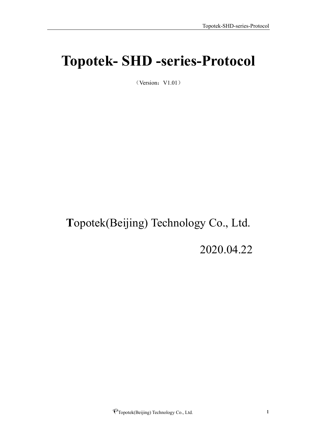# <span id="page-0-0"></span>**Topotek- SHD -series-Protocol**

 $(Version:V1.01)$ 

## **T**opotek(Beijing) Technology Co., Ltd.

2020.04.22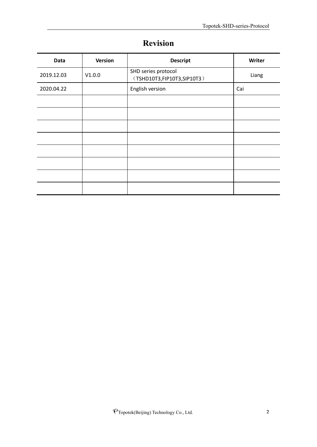<span id="page-1-0"></span>

| Data       | <b>Version</b> | <b>Descript</b>                                     | Writer |
|------------|----------------|-----------------------------------------------------|--------|
| 2019.12.03 | V1.0.0         | SHD series protocol<br>(TSHD10T3, FIP10T3, SIP10T3) | Liang  |
| 2020.04.22 |                | English version                                     | Cai    |
|            |                |                                                     |        |
|            |                |                                                     |        |
|            |                |                                                     |        |
|            |                |                                                     |        |
|            |                |                                                     |        |
|            |                |                                                     |        |
|            |                |                                                     |        |
|            |                |                                                     |        |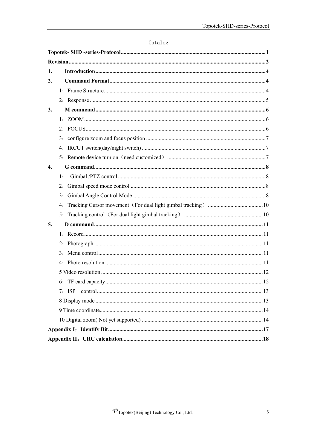| 1.               |          |  |
|------------------|----------|--|
| $\overline{2}$ . |          |  |
|                  |          |  |
|                  |          |  |
| 3.               |          |  |
|                  |          |  |
|                  |          |  |
|                  |          |  |
|                  |          |  |
|                  |          |  |
| $\overline{4}$ . |          |  |
|                  | 1:       |  |
|                  |          |  |
|                  |          |  |
|                  |          |  |
|                  |          |  |
| 5.               |          |  |
|                  |          |  |
|                  |          |  |
|                  |          |  |
|                  |          |  |
|                  |          |  |
|                  |          |  |
|                  | $7:$ ISP |  |
|                  |          |  |
|                  |          |  |
|                  |          |  |
|                  |          |  |
|                  |          |  |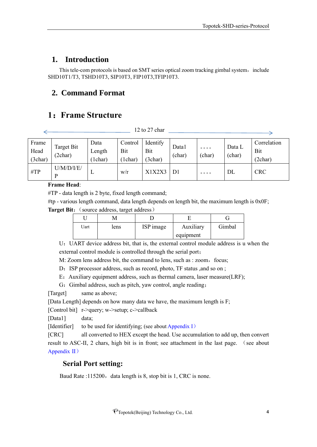## <span id="page-3-0"></span>**1. Introduction**

This tele-com protocols is based on SMT series optical zoom tracking gimbal system, include SHD10T1/T3, TSHD10T3, SIP10T3, FIP10T3,TFIP10T3.

## <span id="page-3-1"></span>**2. Command Format**

## <span id="page-3-2"></span>**1**:**Frame Structure**

 $\frac{12 \text{ to } 27 \text{ char}}{200}$ 

| Frame<br>Head<br>(3char) | Target Bit<br>(2char) | Data<br>Length<br>1char) | Control<br>Bit<br>1char) | Identify<br>Bit<br>(3char) | Data1<br>(char) | 0000<br>(char) | Data L<br>(char) | Correlation<br>Bit<br>(2char) |
|--------------------------|-----------------------|--------------------------|--------------------------|----------------------------|-----------------|----------------|------------------|-------------------------------|
| $\#TP$                   | U/M/D/ I/E/<br>D      | ш                        | W/r                      | X1X2X3                     | D1              | 0000           | DL               | <b>CRC</b>                    |

#### **Frame Head**:

#TP - data length is 2 byte, fixed length command;

#tp - various length command, data length depends on length bit, the maximum length is 0x0F;

**Target Bit:** (source address, target address)

| Uart | lens | ISP image | Auxiliary | Gimbal |
|------|------|-----------|-----------|--------|
|      |      |           | equipment |        |

U:UART device address bit, that is, the external control module address is u when the external control module is controlled through the serial port;

M: Zoom lens address bit, the command to lens, such as : zoom, focus;

D: ISP processor address, such as record, photo, TF status ,and so on ;

E: Auxiliary equipment address, such as thermal camera, laser measure(LRF);

G: Gimbal address, such as pitch, yaw control, angle reading;

[Target] same as above;

[Data Length] depends on how many data we have, the maximum length is F;

[Control bit] r->query; w->setup; c->callback

[Data1] data;

[Identifier] to be used for identifying; (see about Appendix I)

[CRC] all converted to HEX except the head. Use accumulation to add up, then convert result to ASC-II, 2 chars, high bit is in front; see attachment in the last page. (see about Appendix II)

#### **Serial Port setting:**

Baud Rate :115200, data length is 8, stop bit is 1, CRC is none.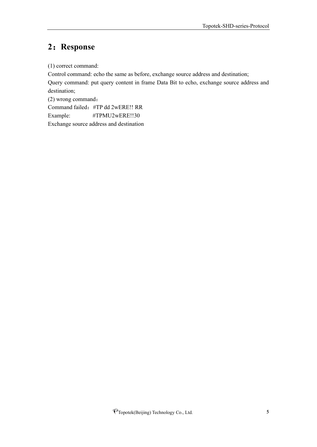## <span id="page-4-0"></span>**2**:**Response**

(1) correct command:

Control command: echo the same as before, exchange source address and destination; Query command: put query content in frame Data Bit to echo, exchange source address and destination;

(2) wrong command: Command failed:#TP dd 2wERE!! RR Example: #TPMU2wERE!!30 Exchange source address and destination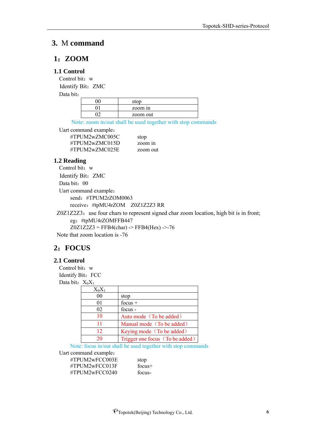#### <span id="page-5-0"></span>**3.** M **command**

#### <span id="page-5-1"></span>**1**:**ZOOM**

#### **1.1 Control**

Control bit: w Identify Bit: ZMC

Data bit:

| stop     |
|----------|
| zoom in  |
| zoom out |

Note: zoom in/out shall be used together with stop commands

Uart command example:

| #TPUM2wZMC005C | stop     |
|----------------|----------|
| #TPUM2wZMC015D | zoom in  |
| #TPUM2wZMC025E | zoom out |

#### **1.2 Reading**

Control bit: w Identify Bit: ZMC Data bit: 00 Uart command example: send: #TPUM2rZOM0063 receive:#tpMU4rZOM Z0Z1Z2Z3 RR

Z0Z1Z2Z3: use four chars to represent signed char zoom location, high bit is in front; eg:#tpMU4rZOMFFB447  $Z0Z1Z2Z3 = FFB4(char)$  ->  $FFB4(Hex)$  ->-76

Note that zoom location is -76

#### <span id="page-5-2"></span>**2**:**FOCUS**

#### **2.1 Control**

Control bit: w Identify Bit: FCC Data bit:  $X_0X_1$ 

| $X_0X_1$       |                                 |
|----------------|---------------------------------|
| 00             | stop                            |
| 0 <sub>1</sub> | focus $+$                       |
| 02             | focus -                         |
| 10             | Auto mode (To be added)         |
| 11             | Manual mode (To be added)       |
| 12             | Keying mode (To be added)       |
| 20             | Trigger one focus (To be added) |

Note: focus in/out shall be used together with stop commands

Uart command example:

#TPUM2wFCC003E stop #TPUM2wFCC013F focus+ #TPUM2wFCC0240 focus-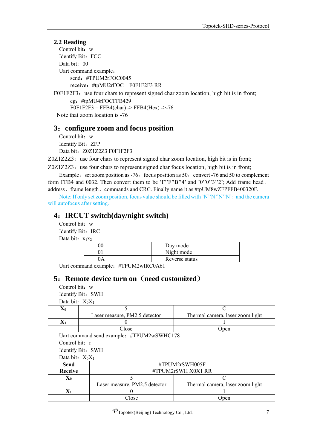#### **2.2 Reading**

Control bit: w Identify Bit: FCC Data bit: 00 Uart command example: send:#TPUM2rFOC0045 receive:#tpMU2rFOC F0F1F2F3 RR

F0F1F2F3: use four chars to represent signed char zoom location, high bit is in front; eg:#tpMU4rFOCFFB429  $F0F1F2F3 = FFB4(char)$  ->  $FFB4(Hex)$  ->-76 Note that zoom location is -76

#### <span id="page-6-0"></span>**3**:**configure zoom and focus position**

Control bit: w Identify Bit: ZFP Data bit: Z0Z1Z2Z3 F0F1F2F3

 $Z0Z1Z2Z3$ : use four chars to represent signed char zoom location, high bit is in front;

 $Z0Z1Z2Z3$ : use four chars to represent signed char focus location, high bit is in front; Example: set zoom position as  $-76$ , focus position as  $50$ , convert  $-76$  and  $50$  to complement

form FFB4 and 0032. Then convert them to be 'F''F''B''4' and '0''0''3''2'; Add frame head, address、frame length、commands and CRC. Finally name it as #tpUM8wZFPFFB400320F.

Note: If only set zoom position, focus value should be filled with 'N''N''N''N'; and the camera will autofocus after setting.

#### <span id="page-6-1"></span>**4**:**IRCUT switch(day/night switch)**

Control bit: w Identify Bit: IRC Data bit:  $x_1x_2$ 

| Day mode       |
|----------------|
| Night mode     |
| Reverse status |

Uart command example: #TPUM2wIRC0A61

### <span id="page-6-2"></span>**5**:**Remote device turn on**(**need customized**)

Control bit: w Identify Bit: SWH

Data bit:  $X_0X_1$ 

| Laser measure, PM2.5 detector | Thermal camera, laser zoom light |  |
|-------------------------------|----------------------------------|--|
|                               |                                  |  |
| $\gamma$ lose                 | Jpen                             |  |

Uart command send example:#TPUM2wSWHC178

Control bit: r

Identify Bit: SWH

Data bit:  $X_0X_1$ 

| Send           | #TPUM2rSWH005F                |                                  |  |
|----------------|-------------------------------|----------------------------------|--|
| <b>Receive</b> | $\#TPUM2rSWH X0X1 RR$         |                                  |  |
|                |                               |                                  |  |
|                | Laser measure, PM2.5 detector | Thermal camera, laser zoom light |  |
|                |                               |                                  |  |
|                | Close                         | Jpen                             |  |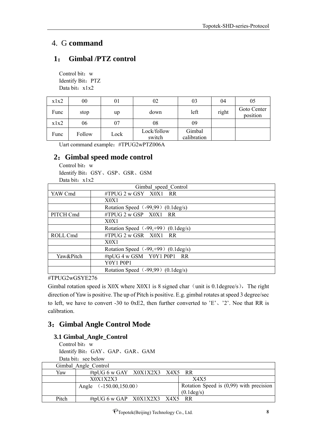## <span id="page-7-0"></span>4. G **command**

## <span id="page-7-1"></span>**1**: **Gimbal /PTZ control**

Control bit: w Identify Bit: PTZ Data bit: x1x2

| x1x2 | $00\,$ | 01   | 02                    | 03                    | 04    | 05                      |
|------|--------|------|-----------------------|-----------------------|-------|-------------------------|
| Func | stop   | up   | down                  | left                  | right | Goto Center<br>position |
| x1x2 | 06     | 07   | 08                    | 09                    |       |                         |
| Func | Follow | Lock | Lock/follow<br>switch | Gimbal<br>calibration |       |                         |

Uart command example:#TPUG2wPTZ006A

### <span id="page-7-2"></span>**2**:**Gimbal speed mode control**

Control bit: w Identify Bit:GSY、GSP、GSR、GSM Data bit: x1x2

|           | Gimbal speed Control                           |  |
|-----------|------------------------------------------------|--|
| YAW Cmd   | #TPUG 2 w GSY X0X1 RR                          |  |
|           | X0X1                                           |  |
|           | Rotation Speed (-99,99) (0.1 deg/s)            |  |
| PITCH Cmd | $\#TPUG$ 2 w GSP $X0X1$ RR                     |  |
|           | X0X1                                           |  |
|           | Rotation Speed $(-99, +99)$ (0.1 deg/s)        |  |
| ROLL Cmd  | $\#TPUG$ 2 w GSR $X0X1$ RR                     |  |
|           | X0X1                                           |  |
|           | Rotation Speed $(-99, +99)$ (0.1 deg/s)        |  |
| Yaw&Pitch | #tpUG 4 w GSM Y0Y1 P0P1 RR                     |  |
|           | <b>Y0Y1 P0P1</b>                               |  |
|           | Rotation Speed $(-99,99)$ $(0.1 \text{deg/s})$ |  |

#TPUG2wGSYE276

Gimbal rotation speed is X0X where X0X1 is 8 signed char (unit is 0.1degree/s), The right direction of Yaw is positive. The up of Pitch is positive. E.g. gimbal rotates at speed 3 degree/sec to left, we have to convert -30 to 0xE2, then further converted to 'E'、'2'. Noe that RR is calibration.

## <span id="page-7-3"></span>**3**:**Gimbal Angle Control Mode**

## **3.1 Gimbal\_Angle\_Control**

Control bit: w Identify Bit:GAY、GAP、GAR、GAM Data bit: see below

|       | Gimbal Angle Control             |                                                         |
|-------|----------------------------------|---------------------------------------------------------|
| Yaw   | #tpUG 6 w GAY $X0X1X2X3$ X4X5 RR |                                                         |
|       | X0X1X2X3                         | X4X5                                                    |
|       | Angle $(.150.00, 150.00)$        | Rotation Speed is $(0,99)$ with precision<br>(0.1deg/s) |
|       |                                  |                                                         |
| Pitch | #tpUG 6 w GAP $X0X1X2X3$ X4X5 RR |                                                         |

PTopotek(Beijing) Technology Co., Ltd. 8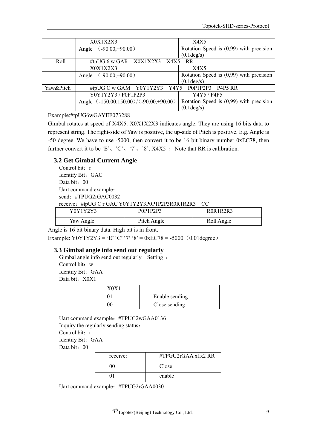|           | X0X1X2X3                               | X4X5                                      |
|-----------|----------------------------------------|-------------------------------------------|
|           | $(.90.00,+90.00)$<br>Angle             | Rotation Speed is $(0,99)$ with precision |
|           |                                        | $(0.1 \text{deg/s})$                      |
| Roll      | #tpUG 6 w GAR X0X1X2X3 X4X5 RR         |                                           |
|           | X0X1X2X3                               | X4X5                                      |
|           | $(.90.00,+90.00)$<br>Angle             | Rotation Speed is $(0,99)$ with precision |
|           |                                        | $(0.1 \text{deg/s})$                      |
| Yaw&Pitch | #tpUG C w GAM Y0Y1Y2Y3 Y4Y5 P0P1P2P3   | P4P5 RR                                   |
|           | Y0Y1Y2Y3 / P0P1P2P3                    | Y4Y5 / P4P5                               |
|           | Angle (-150.00,150.00)/(-90.00,+90.00) | Rotation Speed is $(0,99)$ with precision |
|           |                                        | (0.1deg/s)                                |

#### Example:#tpUG6wGAYEF073288

Gimbal rotates at speed of X4X5. X0X1X2X3 indicates angle. They are using 16 bits data to represent string. The right-side of Yaw is positive, the up-side of Pitch is positive. E.g. Angle is -50 degree. We have to use -5000, then convert it to be 16 bit binary number 0xEC78, then further convert it to be 'E', 'C', '7', '8'. X4X5 ; Note that RR is calibration.

#### **3.2 Get Gimbal Current Angle**

Control bit: r Identify Bit: GAC Data bit: 00 Uart command example: send: #TPUG2rGAC0032 receive:#tpUG C r GAC Y0Y1Y2Y3P0P1P2P3R0R1R2R3 CC

| Y0Y1Y2Y3  | P0P1P2P3    | ROR1R2R3   |
|-----------|-------------|------------|
| Yaw Angle | Pitch Angle | Roll Angle |

Angle is 16 bit binary data. High bit is in front.

Example: Y0Y1Y2Y3 = 'E' 'C' '7' '8' = 0xEC78 = -5000 (0.01degree)

#### **3.3 Gimbal angle info send out regularly**

Gimbal angle info send out regularly Setting: Control bit: w Identify Bit: GAA Data bit: X0X1

| 70X |                |
|-----|----------------|
|     | Enable sending |
|     | Close sending  |

Uart command example:#TPUG2wGAA0136 Inquiry the regularly sending status: Control bit: r Identify Bit: GAA Data bit: 00

| receive: | #TPGU2rGAA $x1x2$ RR |
|----------|----------------------|
| ()()     | Close                |
|          | enable               |

Uart command example:#TPUG2rGAA0030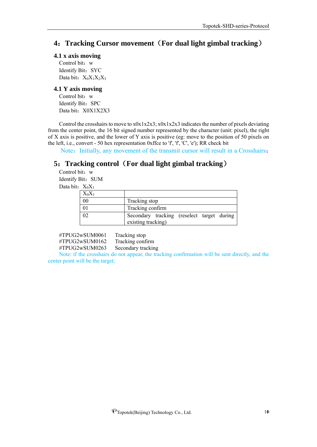#### <span id="page-9-0"></span>**4**:**Tracking Cursor movement**(**For dual light gimbal tracking**)

#### **4.1 x axis moving**

Control bit: w Identify Bit: SYC Data bit: X<sub>0</sub>X<sub>1</sub>X<sub>2</sub>X<sub>3</sub>

#### **4.1 Y axis moving**

Control bit: w Identify Bit: SPC Data bit: X0X1X2X3

Control the crosshairs to move to x0x1x2x3; x0x1x2x3 indicates the number of pixels deviating from the center point, the 16 bit signed number represented by the character (unit: pixel), the right of X axis is positive, and the lower of Y axis is positive (eg: move to the position of 50 pixels on the left, i.e., convert - 50 hex representation 0xffce to  $f'$ ,  $f'$ ,  $C'$ ,  $e'$ ); RR check bit

Note: Initially, any movement of the transmit cursor will result in a Crosshairs;

### <span id="page-9-1"></span>**5**:**Tracking control**(**For dual light gimbal tracking**)

Control bit: w Identify Bit: SUM Data bit:  $X_0X_1$ 

| $X_0X_1$ |                                                                  |
|----------|------------------------------------------------------------------|
| 00       | Tracking stop                                                    |
|          | Tracking confirm                                                 |
|          | Secondary tracking (reselect target during<br>existing tracking) |

#TPUG2wSUM0061 Tracking stop #TPUG2wSUM0162 Tracking confirm #TPUG2wSUM0263 Secondary tracking

Note: if the crosshairs do not appear, the tracking confirmation will be sent directly, and the center point will be the target;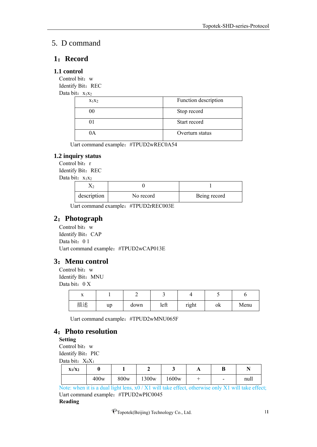## <span id="page-10-0"></span>5. D command

#### <span id="page-10-1"></span>**1**:**Record**

#### **1.1 control**

Control bit: w Identify Bit: REC

Data bit:  $x_1x_2$ 

| $X_1X_2$ | Function description |
|----------|----------------------|
|          | Stop record          |
|          | Start record         |
| IА       | Overturn status      |

Uart command example: #TPUD2wREC0A54

#### **1.2 inquiry status**

Control bit: r Identify Bit: REC Data bit:  $x_1x_2$ 

| description | No record | Being record |
|-------------|-----------|--------------|

Uart command example:#TPUD2rREC003E

#### <span id="page-10-2"></span>**2**:**Photograph**

Control bit: w Identify Bit: CAP Data bit: 0 1 Uart command example:#TPUD2wCAP013E

#### <span id="page-10-3"></span>**3**:**Menu control**

Control bit: w Identify Bit: MNU Data bit: 0 X

| $\overline{ }$ |    | -    |      |       |    |      |
|----------------|----|------|------|-------|----|------|
| 描述             | up | down | left | right | ok | Menu |

Uart command example:#TPUD2wMNU065F

#### <span id="page-10-4"></span>**4**:**Photo resolution**

**Setting**

Control bit: w

Identify Bit: PIC Data bit:  $X_0X_1$ 

| $\alpha$ $\alpha$ $\alpha$ $\beta$ $\alpha$ $\beta$ $\alpha$ $\beta$ |      |      |                   |       |  |                          |      |  |
|----------------------------------------------------------------------|------|------|-------------------|-------|--|--------------------------|------|--|
| $X_1/X_2$                                                            |      |      |                   | ີ     |  | D                        |      |  |
|                                                                      | 400w | 800w | 1300 <sub>w</sub> | 1600w |  | $\overline{\phantom{0}}$ | null |  |

Note: when it is a dual light lens, x0 / X1 will take effect, otherwise only X1 will take effect; Uart command example:#TPUD2wPIC0045

#### **Reading**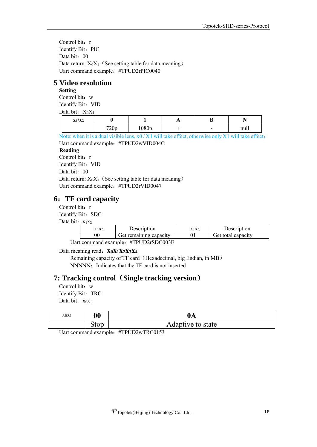Control bit: r Identify Bit: PIC Data bit: 00 Data return:  $X_0X_1$  (See setting table for data meaning) Uart command example:#TPUD2rPIC0040

#### <span id="page-11-0"></span>**5 Video resolution**

## **Setting**

Control bit: w Identify Bit: VID Data bit:  $X_0X_1$ 

| $x_1/x_2$ |                  |       | . . | n<br>D                   |      |
|-----------|------------------|-------|-----|--------------------------|------|
|           | 720 <sub>p</sub> | 1080p |     | $\overline{\phantom{0}}$ | null |

Note: when it is a dual visible lens, x0 / X1 will take effect, otherwise only X1 will take effect; Uart command example:#TPUD2wVID004C

#### **Reading**

Control bit: r

Identify Bit: VID

Data bit: 00

Data return:  $X_0X_1$  (See setting table for data meaning) Uart command example:#TPUD2rVID0047

## <span id="page-11-1"></span>**6**:**TF card capacity**

Control bit: r

Identify Bit: SDC

Data bit:  $x_1x_2$ 

| $X_1X_2$ | Description                 | $X_1X_2$ | Description        |
|----------|-----------------------------|----------|--------------------|
|          | Get remaining capacity      |          | Get total capacity |
|          | $\mathbf{u}$ muning anggaap |          |                    |

Uart command example: #TPUD2rSDC003E

Data meaning read:**x0x1x2x3x<sup>4</sup>**

Remaining capacity of TF card (Hexadecimal, big Endian, in MB) NNNNN: Indicates that the TF card is not inserted

#### **7: Tracking control**(**Single tracking version**)

Control bit: w Identify Bit: TRC Data bit:  $x_0x_1$ 

| $X_0X_1$ | $\boldsymbol{00}$ | 0A                |
|----------|-------------------|-------------------|
|          | ນເບ⊔              | Adaptive to state |

Uart command example: #TPUD2wTRC0153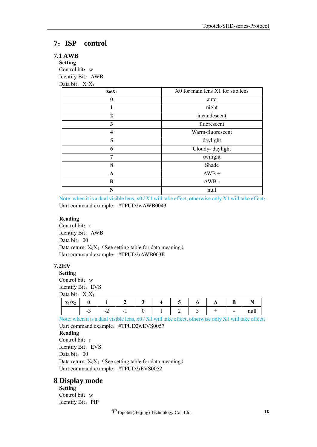#### <span id="page-12-0"></span>**7**:**ISP control**

#### **7.1 AWB**

**Setting** Control bit: w Identify Bit:AWB Data bit:  $X_0X_1$ 

| $x_0/x_1$    | X0 for main lens X1 for sub lens |
|--------------|----------------------------------|
| 0            | auto                             |
| 1            | night                            |
| $\mathbf{2}$ | incandescent                     |
| 3            | fluorescent                      |
| 4            | Warm-fluorescent                 |
| 5            | daylight                         |
| 6            | Cloudy-daylight                  |
| 7            | twilight                         |
| 8            | Shade                            |
| $\mathbf A$  | $AWB +$                          |
| B            | $AWB -$                          |
| N            | null                             |

Note: when it is a dual visible lens, x0 / X1 will take effect, otherwise only X1 will take effect; Uart command example:#TPUD2wAWB0043

#### **Reading**

Control bit: r Identify Bit:AWB Data bit: 00 Data return:  $X_0X_1$  (See setting table for data meaning) Uart command example:#TPUD2rAWB003E

#### **7.2EV**

**Setting** Control bit: w Identify Bit: EVS Data bit:  $X_0X_1$ 

| $\mathbf{v}$ .<br>$I_{\mathbf{Y}}$ .<br>$\mathbf{1}^{I}$ $\mathbf{A}_{L}$<br>$\mathbf{r}$ |        |          |   |  | h | $\overline{\phantom{a}}$ | D<br>D |            |
|-------------------------------------------------------------------------------------------|--------|----------|---|--|---|--------------------------|--------|------------|
|                                                                                           | $\sim$ | $\sim$ . | - |  |   |                          | -      | 22.7<br>-- |

Note: when it is a dual visible lens, x0 / X1 will take effect, otherwise only X1 will take effect; Uart command example: #TPUD2wEVS0057 **Reading** Control bit: r Identify Bit: EVS

Data bit: 00

Data return:  $X_0X_1$  (See setting table for data meaning) Uart command example:#TPUD2rEVS0052

#### <span id="page-12-1"></span>**8 Display mode**

**Setting** Control bit: w Identify Bit: PIP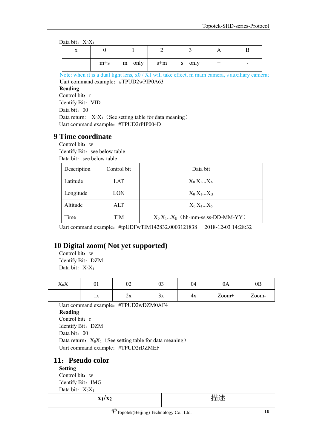Data bit:  $X_0X_1$ 

|  | $m+s$   m only   s+m   s only |  | $\sim$ $\sim$ |
|--|-------------------------------|--|---------------|

Note: when it is a dual light lens, x0 / X1 will take effect, m main camera, s auxiliary camera; Uart command example:#TPUD2wPIP0A63

#### **Reading**

Control bit: r Identify Bit: VID Data bit: 00 Data return:  $X_0X_1$  (See setting table for data meaning) Uart command example:#TPUD2rPIP004D

#### <span id="page-13-0"></span>**9 Time coordinate**

Control bit: w Identify Bit: see below table Data bit: see below table

| Description | Control bit | Data bit                            |
|-------------|-------------|-------------------------------------|
| Latitude    | LAT         | $X_0 X_1X_A$                        |
| Longitude   | LON         | $X_0 X_1X_B$                        |
| Altitude    | ALT         | $X_0 X_1X_5$                        |
| Time        | TIM         | $X_0 X_1X_E$ (hh-mm-ss.ss-DD-MM-YY) |

Uart command example:#tpUDFwTIM142832.0003121838 2018-12-03 14:28:32

#### <span id="page-13-1"></span>**10 Digital zoom( Not yet supported)**

Control bit: w Identify Bit: DZM Data bit:  $X_0X_1$ 

| vv<br>$\Lambda_0\Lambda_1$ | UI                 | $\sim$<br>∪∠            | $\sim$<br>υJ       | 04 | UA.   | $0\text{B}$                     |
|----------------------------|--------------------|-------------------------|--------------------|----|-------|---------------------------------|
|                            | $\mathbf{r}$<br>ıΛ | . .<br>$\angle \Lambda$ | $\mathbf{v}$<br>ЭΛ | 4x | Zoom+ | $\overline{ }$<br>$\angle$ 00m- |

Uart command example:#TPUD2wDZM0AF4

#### **Reading**

Control bit: r Identify Bit: DZM Data bit: 00 Data return:  $X_0X_1$  (See setting table for data meaning) Uart command example:#TPUD2rDZMEF

#### **11**:**Pseudo color**

**Setting** Control bit: w Identify Bit: IMG Data bit:  $X_0X_1$ 

**x1/x<sup>2</sup>** 描述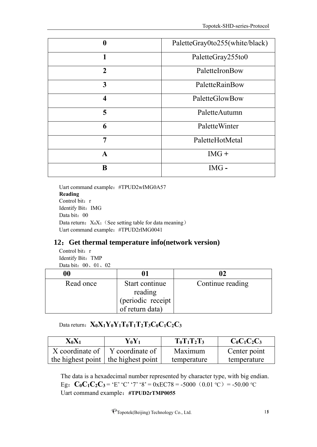| $\boldsymbol{0}$        | PaletteGray0to255(white/black) |
|-------------------------|--------------------------------|
| 1                       | PaletteGray255to0              |
| $\overline{2}$          | PaletteIronBow                 |
| 3                       | PaletteRainBow                 |
| $\overline{\mathbf{4}}$ | PaletteGlowBow                 |
| 5                       | PaletteAutumn                  |
| 6                       | PaletteWinter                  |
| 7                       | PaletteHotMetal                |
| A                       | $IMG +$                        |
| B                       | $IMG -$                        |

Uart command example: #TPUD2wIMG0A57 **Reading** Control bit: r Identify Bit: IMG Data bit: 00 Data return:  $X_0X_1$  (See setting table for data meaning) Uart command example:#TPUD2rIMG0041

#### **12**:**Get thermal temperature info(network version)**

Control bit: r Identify Bit: TMP Data bit: 00、01、02

| 00        |                                      |                  |
|-----------|--------------------------------------|------------------|
| Read once | Start continue<br>reading            | Continue reading |
|           | (periodic receipt<br>of return data) |                  |
|           |                                      |                  |

## $\text{Data return:}$   $\mathbf{X}_0 \mathbf{X}_1 \mathbf{Y}_0 \mathbf{Y}_1 \mathbf{T}_0 \mathbf{T}_1 \mathbf{T}_2 \mathbf{T}_3 \mathbf{C}_0 \mathbf{C}_1 \mathbf{C}_2 \mathbf{C}_3$

| $X_0X_1$ | $Y_0Y_1$                                    | $T_0T_1T_2T_3$ | $C_0C_1C_2C_3$ |
|----------|---------------------------------------------|----------------|----------------|
|          | X coordinate of $\mid$ Y coordinate of      | Maximum        | Center point   |
|          | the highest point $\vert$ the highest point | temperature    | temperature    |

The data is a hexadecimal number represented by character type, with big endian. Eg:  $C_0C_1C_2C_3 = E'$  'C' '7' '8' = 0xEC78 = -5000 (0.01 °C) = -50.00 °C Uart command example:**#TPUD2rTMP0055**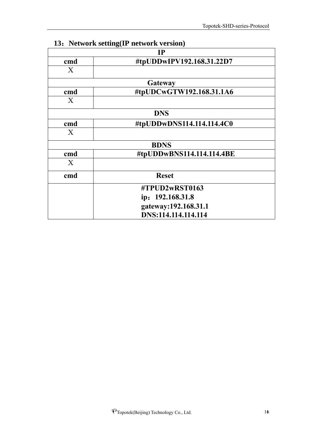|              | $13.1$ Webber Schligter Intendent Version |
|--------------|-------------------------------------------|
|              | IP                                        |
| cmd          | #tpUDDwIPV192.168.31.22D7                 |
| X            |                                           |
|              | Gateway                                   |
| cmd          | #tpUDCwGTW192.168.31.1A6                  |
| X            |                                           |
|              | <b>DNS</b>                                |
| cmd          | #tpUDDwDNS114.114.114.4C0                 |
| X            |                                           |
|              | <b>BDNS</b>                               |
| cmd          | #tpUDDwBNS114.114.114.4BE                 |
| $\mathbf{X}$ |                                           |
| cmd          | <b>Reset</b>                              |
|              | #TPUD2wRST0163                            |
|              | ip: 192.168.31.8                          |
|              | gateway:192.168.31.1                      |
|              | DNS:114.114.114.114                       |

## **13**:**Network setting(IP network version)**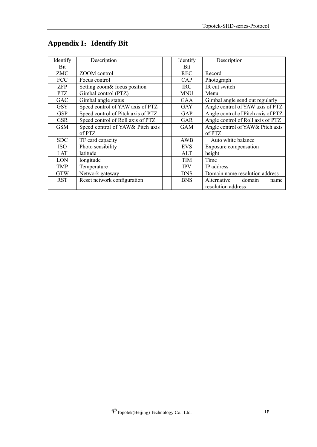| Identify   | Description                        | Identify   | Description                        |
|------------|------------------------------------|------------|------------------------------------|
| Bit        |                                    | <b>Bit</b> |                                    |
| ZMC        | ZOOM control                       | <b>REC</b> | Record                             |
| <b>FCC</b> | Focus control                      | CAP        | Photograph                         |
| <b>ZFP</b> | Setting zoom& focus position       | <b>IRC</b> | IR cut switch                      |
| <b>PTZ</b> | Gimbal control (PTZ)               | <b>MNU</b> | Menu                               |
| <b>GAC</b> | Gimbal angle status                | <b>GAA</b> | Gimbal angle send out regularly    |
| <b>GSY</b> | Speed control of YAW axis of PTZ   | <b>GAY</b> | Angle control of YAW axis of PTZ   |
| <b>GSP</b> | Speed control of Pitch axis of PTZ | GAP        | Angle control of Pitch axis of PTZ |
| <b>GSR</b> | Speed control of Roll axis of PTZ  | <b>GAR</b> | Angle control of Roll axis of PTZ  |
| <b>GSM</b> | Speed control of YAW& Pitch axis   | <b>GAM</b> | Angle control of YAW& Pitch axis   |
|            | of PTZ                             |            | of PTZ                             |
| <b>SDC</b> | TF card capacity                   | AWB        | Auto white balance                 |
| <b>ISO</b> | Photo sensibility                  | <b>EVS</b> | Exposure compensation              |
| LAT        | latitude                           | ALT        | height                             |
| LON        | longitude                          | TIM        | Time                               |
| <b>TMP</b> | Temperature                        | <b>IPV</b> | IP address                         |
| <b>GTW</b> | Network gateway                    | <b>DNS</b> | Domain name resolution address     |
| <b>RST</b> | Reset network configuration        | <b>BNS</b> | Alternative<br>domain<br>name      |
|            |                                    |            | resolution address                 |

## <span id="page-16-0"></span>**Appendix I**:**Identify Bit**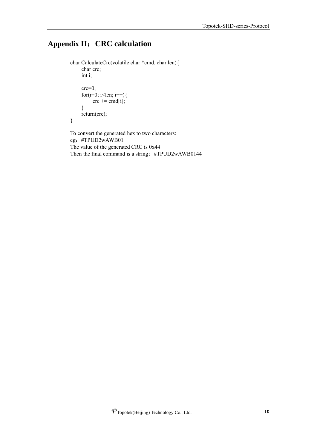## <span id="page-17-0"></span>**Appendix II**:**CRC calculation**

```
char CalculateCrc(volatile char *cmd, char len){ 
     char crc;
     int i;
     crc=0;
     for(i=0; i<len; i++){
           \text{crc} \mathrel{+}= \text{cmd}[i];}
     return(crc);
}
To convert the generated hex to two characters:
```
eg:#TPUD2wAWB01 The value of the generated CRC is 0x44 Then the final command is a string: #TPUD2wAWB0144